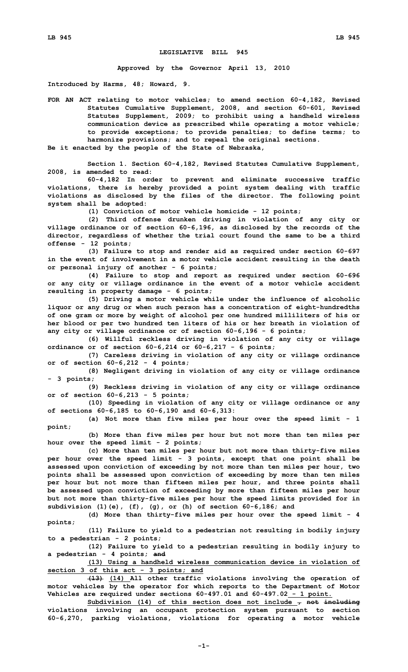## **LEGISLATIVE BILL 945**

**Approved by the Governor April 13, 2010**

**Introduced by Harms, 48; Howard, 9.**

**FOR AN ACT relating to motor vehicles; to amend section 60-4,182, Revised Statutes Cumulative Supplement, 2008, and section 60-601, Revised Statutes Supplement, 2009; to prohibit using <sup>a</sup> handheld wireless communication device as prescribed while operating <sup>a</sup> motor vehicle; to provide exceptions; to provide penalties; to define terms; to harmonize provisions; and to repeal the original sections.**

**Be it enacted by the people of the State of Nebraska,**

**Section 1. Section 60-4,182, Revised Statutes Cumulative Supplement, 2008, is amended to read:**

**60-4,182 In order to prevent and eliminate successive traffic violations, there is hereby provided <sup>a</sup> point system dealing with traffic violations as disclosed by the files of the director. The following point system shall be adopted:**

**(1) Conviction of motor vehicle homicide - 12 points;**

**(2) Third offense drunken driving in violation of any city or village ordinance or of section 60-6,196, as disclosed by the records of the director, regardless of whether the trial court found the same to be <sup>a</sup> third offense - 12 points;**

**(3) Failure to stop and render aid as required under section 60-697 in the event of involvement in <sup>a</sup> motor vehicle accident resulting in the death or personal injury of another - 6 points;**

**(4) Failure to stop and report as required under section 60-696 or any city or village ordinance in the event of <sup>a</sup> motor vehicle accident resulting in property damage - 6 points;**

**(5) Driving <sup>a</sup> motor vehicle while under the influence of alcoholic liquor or any drug or when such person has <sup>a</sup> concentration of eight-hundredths of one gram or more by weight of alcohol per one hundred milliliters of his or her blood or per two hundred ten liters of his or her breath in violation of any city or village ordinance or of section 60-6,196 - 6 points;**

**(6) Willful reckless driving in violation of any city or village ordinance or of section 60-6,214 or 60-6,217 - 6 points;**

**(7) Careless driving in violation of any city or village ordinance or of section 60-6,212 - 4 points;**

**(8) Negligent driving in violation of any city or village ordinance - 3 points;**

**(9) Reckless driving in violation of any city or village ordinance or of section 60-6,213 - 5 points;**

**(10) Speeding in violation of any city or village ordinance or any of sections 60-6,185 to 60-6,190 and 60-6,313:**

**(a) Not more than five miles per hour over the speed limit - 1 point;**

**(b) More than five miles per hour but not more than ten miles per hour over the speed limit - 2 points;**

**(c) More than ten miles per hour but not more than thirty-five miles per hour over the speed limit - 3 points, except that one point shall be assessed upon conviction of exceeding by not more than ten miles per hour, two points shall be assessed upon conviction of exceeding by more than ten miles per hour but not more than fifteen miles per hour, and three points shall be assessed upon conviction of exceeding by more than fifteen miles per hour but not more than thirty-five miles per hour the speed limits provided for in subdivision (1)(e), (f), (g), or (h) of section 60-6,186; and**

**(d) More than thirty-five miles per hour over the speed limit - 4 points;**

**(11) Failure to yield to <sup>a</sup> pedestrian not resulting in bodily injury to <sup>a</sup> pedestrian - 2 points;**

**(12) Failure to yield to <sup>a</sup> pedestrian resulting in bodily injury to <sup>a</sup> pedestrian - 4 points; and**

**(13) Using <sup>a</sup> handheld wireless communication device in violation of section 3 of this act - 3 points; and**

**(13) (14) All other traffic violations involving the operation of motor vehicles by the operator for which reports to the Department of Motor Vehicles are required under sections 60-497.01 and 60-497.02 - 1 point.**

**Subdivision (14) of this section does not include , not including violations involving an occupant protection system pursuant to section 60-6,270, parking violations, violations for operating <sup>a</sup> motor vehicle**